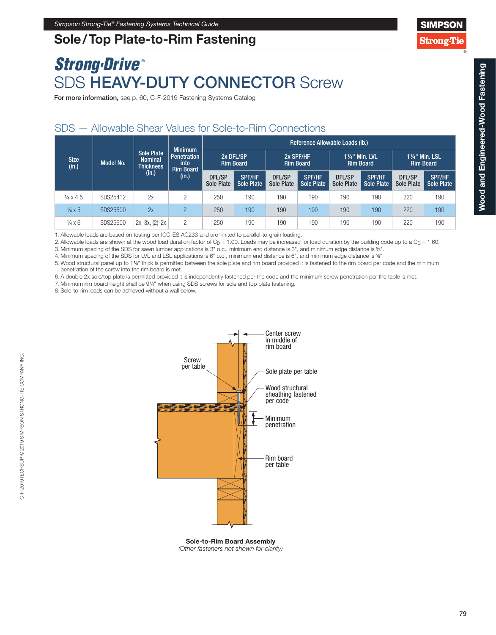## Sole/Top Plate-to-Rim Fastening

# *Strong-Drive* ® SDS HEAVY-DUTY CONNECTOR Screw

For more information, see p. 60, C-F-2019 Fastening Systems Catalog

### SDS — Allowable Shear Values for Sole-to-Rim Connections

| <b>Size</b><br>(in.)     | Model No. | <b>Sole Plate</b><br><b>Nominal</b><br><b>Thickness</b><br>(in.) | <b>Minimum</b><br><b>Penetration</b><br>into<br>Rim Board<br>(in.) | Reference Allowable Loads (Ib.) |                                    |                               |                             |                                           |                                    |                                           |                             |
|--------------------------|-----------|------------------------------------------------------------------|--------------------------------------------------------------------|---------------------------------|------------------------------------|-------------------------------|-----------------------------|-------------------------------------------|------------------------------------|-------------------------------------------|-----------------------------|
|                          |           |                                                                  |                                                                    | 2x DFL/SP<br><b>Rim Board</b>   |                                    | 2x SPF/HF<br><b>Rim Board</b> |                             | <b>11/4" Min. LVL</b><br><b>Rim Board</b> |                                    | <b>11/4" Min. LSL</b><br><b>Rim Board</b> |                             |
|                          |           |                                                                  |                                                                    | DFL/SP<br><b>Sole Plate</b>     | <b>SPF/HF</b><br><b>Sole Plate</b> | DFL/SP<br>Sole Plate          | <b>SPF/HF</b><br>Sole Plate | DFL/SP<br>Sole Plate                      | <b>SPF/HF</b><br><b>Sole Plate</b> | DFL/SP<br>Sole Plate                      | <b>SPF/HF</b><br>Sole Plate |
| $\frac{1}{4} \times 4.5$ | SDS25412  | 2x                                                               | 2                                                                  | 250                             | 190                                | 190                           | 190                         | 190                                       | 190                                | 220                                       | 190                         |
| $\frac{1}{4} \times 5$   | SDS25500  | 2x                                                               | $\overline{2}$                                                     | 250                             | 190                                | 190                           | 190                         | 190                                       | 190                                | 220                                       | 190                         |
| $\frac{1}{4}$ x 6        | SDS25600  | $2x, 3x, (2)-2x$                                                 | $\overline{c}$                                                     | 250                             | 190                                | 190                           | 190                         | 190                                       | 190                                | 220                                       | 190                         |

1. Allowable loads are based on testing per ICC-ES AC233 and are limited to parallel-to-grain loading.

2. Allowable loads are shown at the wood load duration factor of  $C_D = 1.00$ . Loads may be increased for load duration by the building code up to a  $C_D = 1.60$ .

3. Minimum spacing of the SDS for sawn lumber applications is 3" o.c., minimum end distance is 3", and minimum edge distance is 5⁄8".

4. Minimum spacing of the SDS for LVL and LSL applications is 6" o.c., minimum end distance is 6", and minimum edge distance is 5⁄8".

5. Wood structural panel up to 11⁄8" thick is permitted between the sole plate and rim board provided it is fastened to the rim board per code and the minimum penetration of the screw into the rim board is met.

6. A double 2x sole/top plate is permitted provided it is independently fastened per the code and the minimum screw penetration per the table is met.

7. Minimum rim board height shall be 91/4" when using SDS screws for sole and top plate fastening.

8. Sole-to-rim loads can be achieved without a wall below.



Sole-to-Rim Board Assembly *(Other fasteners not shown for clarity)* **SIMPSOI** 

**Strong-Tie**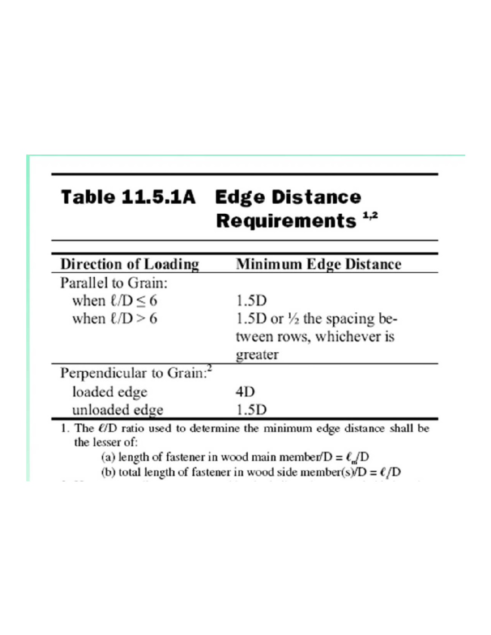## **Table 11.5.1A Edge Distance** Requirements<sup>1,2</sup>

| <b>Direction of Loading</b>          | Minimum Edge Distance                 |
|--------------------------------------|---------------------------------------|
| Parallel to Grain:                   |                                       |
| when $\ell/D \leq 6$                 | 1.5D                                  |
| when $\ell/D > 6$                    | 1.5D or $\frac{1}{2}$ the spacing be- |
|                                      | tween rows, whichever is              |
|                                      | greater                               |
| Perpendicular to Grain: <sup>2</sup> |                                       |
| loaded edge                          | 4D                                    |
| unloaded edge                        | 1.5D                                  |

(a) length of fastener in wood main member/ $D = \ell_{\rm m}/D$ 

(b) total length of fastener in wood side member(s)/ $D = \ell/D$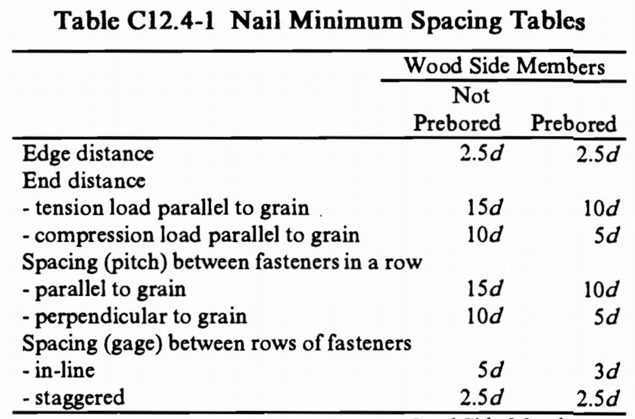# Table C12.4-1 Nail Minimum Spacing Tables

|                                            | Wood Side Members |          |  |
|--------------------------------------------|-------------------|----------|--|
|                                            | Not               |          |  |
|                                            | Prebored          | Prebored |  |
| Edge distance                              | 2.5d              | 2.5d     |  |
| End distance                               |                   |          |  |
| - tension load parallel to grain.          | 15d               | 10d      |  |
| - compression load parallel to grain       | 10d               | 5d       |  |
| Spacing (pitch) between fasteners in a row |                   |          |  |
| - parallel to grain                        | 15d               | 10d      |  |
| - perpendicular to grain                   | 10d               | 5d       |  |
| Spacing (gage) between rows of fasteners   |                   |          |  |
| - in-line                                  | 5d                | 3d       |  |
| - staggered                                | 2.5d              | 2.5d     |  |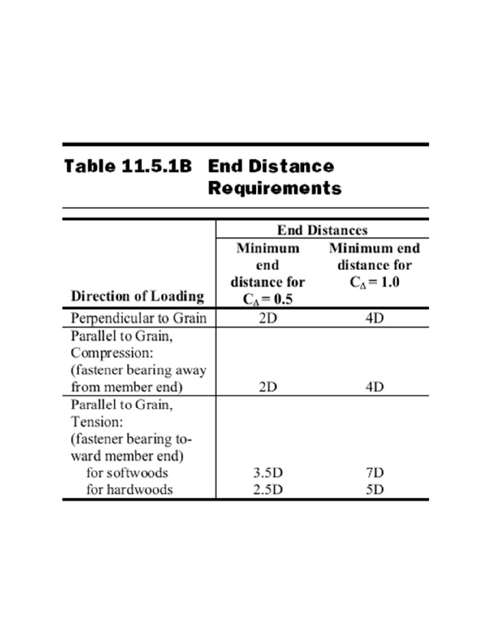# Table 11.5.1B End Distance Requirements

|                                           | <b>End Distances</b>                                 |                                            |  |  |
|-------------------------------------------|------------------------------------------------------|--------------------------------------------|--|--|
| <b>Direction of Loading</b>               | Minimum<br>end<br>distance for<br>$C_{\Delta}$ = 0.5 | Minimum end<br>distance for<br>$C_A = 1.0$ |  |  |
| Perpendicular to Grain                    | 2D                                                   | 4D                                         |  |  |
| Parallel to Grain,<br>Compression:        |                                                      |                                            |  |  |
| (fastener bearing away                    |                                                      |                                            |  |  |
| from member end)<br>Parallel to Grain,    | 2D                                                   | 4D                                         |  |  |
| Tension:                                  |                                                      |                                            |  |  |
| (fastener bearing to-<br>ward member end) |                                                      |                                            |  |  |
| for softwoods                             | 3.5D                                                 | 7D                                         |  |  |
| for hardwoods                             | 2.5D                                                 | 5D                                         |  |  |